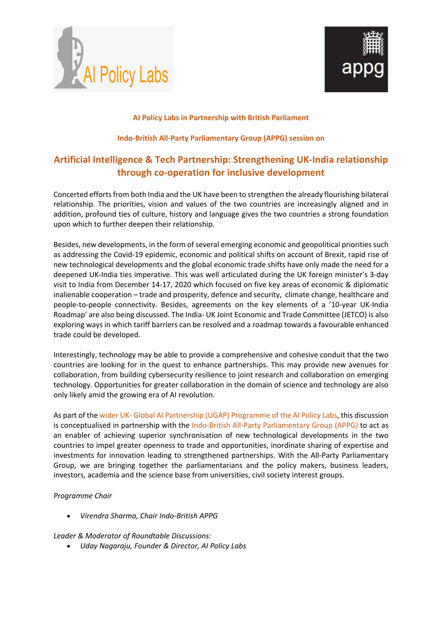



#### **AI Policy Labs in Partnership with British Parliament**

#### **Indo-British All-Party Parliamentary Group (APPG) session on**

## **Artificial Intelligence & Tech Partnership: Strengthening UK-India relationship through co-operation for inclusive development**

Concerted efforts from both India and the UK have been to strengthen the already flourishing bilateral relationship. The priorities, vision and values of the two countries are increasingly aligned and in addition, profound ties of culture, history and language gives the two countries a strong foundation upon which to further deepen their relationship.

Besides, new developments, in the form of several emerging economic and geopolitical priorities such as addressing the Covid-19 epidemic, economic and political shifts on account of Brexit, rapid rise of new technological developments and the global economic trade shifts have only made the need for a deepened UK-India ties imperative. This was well articulated during the UK foreign minister's 3-day visit to India from December 14-17, 2020 which focused on five key areas of economic & diplomatic inalienable cooperation – trade and prosperity, defence and security, climate change, healthcare and people-to-people connectivity. Besides, agreements on the key elements of a '10-year UK-India Roadmap' are also being discussed. The India- UK Joint Economic and Trade Committee (JETCO) is also exploring ways in which tariff barriers can be resolved and a roadmap towards a favourable enhanced trade could be developed.

Interestingly, technology may be able to provide a comprehensive and cohesive conduit that the two countries are looking for in the quest to enhance partnerships. This may provide new avenues for collaboration, from building cybersecurity resilience to joint research and collaboration on emerging technology. Opportunities for greater collaboration in the domain of science and technology are also only likely amid the growing era of AI revolution.

As part of the wider UK- Global AI Partnership (UGAP) Programme of the AI Policy Labs, this discussion is conceptualised in partnership with the Indo-British All-Party Parliamentary Group (APPG) to act as an enabler of achieving superior synchronisation of new technological developments in the two countries to impel greater openness to trade and opportunities, inordinate sharing of expertise and investments for innovation leading to strengthened partnerships. With the All-Party Parliamentary Group, we are bringing together the parliamentarians and the policy makers, business leaders, investors, academia and the science base from universities, civil society interest groups.

#### *Programme Chair*

• *Virendra Sharma, Chair Indo-British APPG* 

#### *Leader & Moderator of Roundtable Discussions:*

• *Uday Nagaraju, Founder & Director, AI Policy Labs*